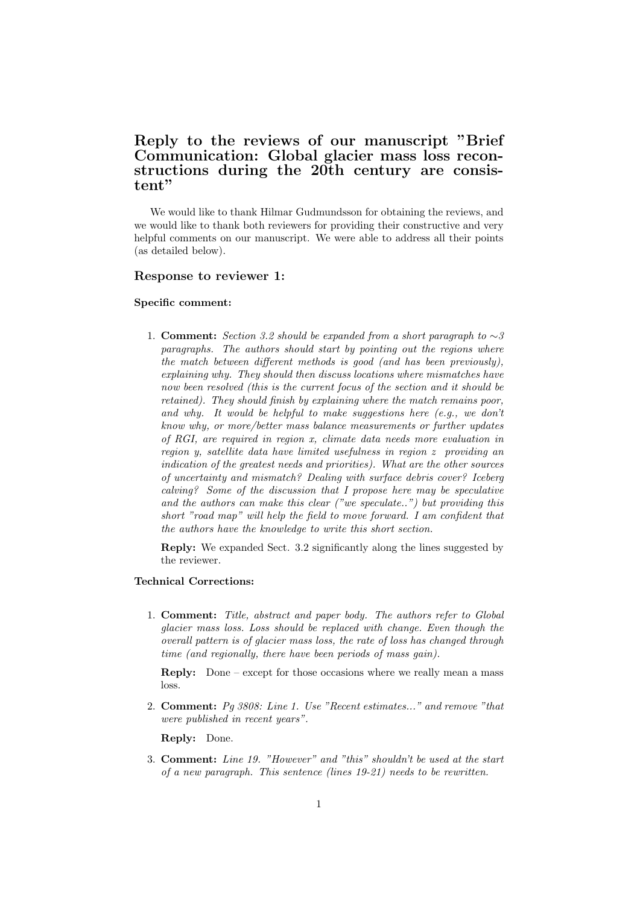# Reply to the reviews of our manuscript "Brief Communication: Global glacier mass loss reconstructions during the 20th century are consistent"

We would like to thank Hilmar Gudmundsson for obtaining the reviews, and we would like to thank both reviewers for providing their constructive and very helpful comments on our manuscript. We were able to address all their points (as detailed below).

### Response to reviewer 1:

#### Specific comment:

1. **Comment:** Section 3.2 should be expanded from a short paragraph to  $\sim$ 3 paragraphs. The authors should start by pointing out the regions where the match between different methods is good (and has been previously), explaining why. They should then discuss locations where mismatches have now been resolved (this is the current focus of the section and it should be retained). They should finish by explaining where the match remains poor, and why. It would be helpful to make suggestions here  $(e.g., we don't$ know why, or more/better mass balance measurements or further updates of RGI, are required in region x, climate data needs more evaluation in region y, satellite data have limited usefulness in region z providing an indication of the greatest needs and priorities). What are the other sources of uncertainty and mismatch? Dealing with surface debris cover? Iceberg calving? Some of the discussion that I propose here may be speculative and the authors can make this clear ("we speculate..") but providing this short "road map" will help the field to move forward. I am confident that the authors have the knowledge to write this short section.

Reply: We expanded Sect. 3.2 significantly along the lines suggested by the reviewer.

### Technical Corrections:

1. Comment: Title, abstract and paper body. The authors refer to Global glacier mass loss. Loss should be replaced with change. Even though the overall pattern is of glacier mass loss, the rate of loss has changed through time (and regionally, there have been periods of mass gain).

Reply: Done – except for those occasions where we really mean a mass loss.

2. Comment: Pg 3808: Line 1. Use "Recent estimates..." and remove "that were published in recent years".

Reply: Done.

3. Comment: Line 19. "However" and "this" shouldn't be used at the start of a new paragraph. This sentence (lines 19-21) needs to be rewritten.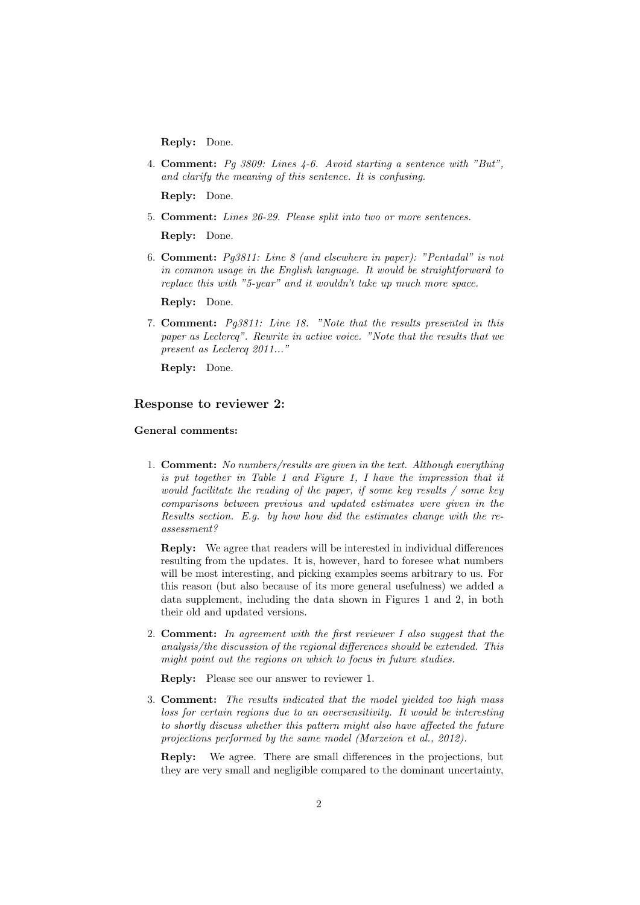Reply: Done.

4. Comment: Pg 3809: Lines 4-6. Avoid starting a sentence with "But", and clarify the meaning of this sentence. It is confusing.

Reply: Done.

5. Comment: Lines 26-29. Please split into two or more sentences.

Reply: Done.

6. Comment: Pg3811: Line 8 (and elsewhere in paper): "Pentadal" is not in common usage in the English language. It would be straightforward to replace this with "5-year" and it wouldn't take up much more space.

Reply: Done.

7. Comment: Pg3811: Line 18. "Note that the results presented in this paper as Leclercq". Rewrite in active voice. "Note that the results that we present as Leclercq 2011..."

Reply: Done.

## Response to reviewer 2:

#### General comments:

1. Comment: No numbers/results are given in the text. Although everything is put together in Table 1 and Figure 1, I have the impression that it would facilitate the reading of the paper, if some key results / some key comparisons between previous and updated estimates were given in the Results section. E.g. by how how did the estimates change with the reassessment?

Reply: We agree that readers will be interested in individual differences resulting from the updates. It is, however, hard to foresee what numbers will be most interesting, and picking examples seems arbitrary to us. For this reason (but also because of its more general usefulness) we added a data supplement, including the data shown in Figures 1 and 2, in both their old and updated versions.

2. Comment: In agreement with the first reviewer I also suggest that the analysis/the discussion of the regional differences should be extended. This might point out the regions on which to focus in future studies.

Reply: Please see our answer to reviewer 1.

- 3. Comment: The results indicated that the model yielded too high mass loss for certain regions due to an oversensitivity. It would be interesting to shortly discuss whether this pattern might also have affected the future projections performed by the same model (Marzeion et al., 2012).
	- Reply: We agree. There are small differences in the projections, but they are very small and negligible compared to the dominant uncertainty,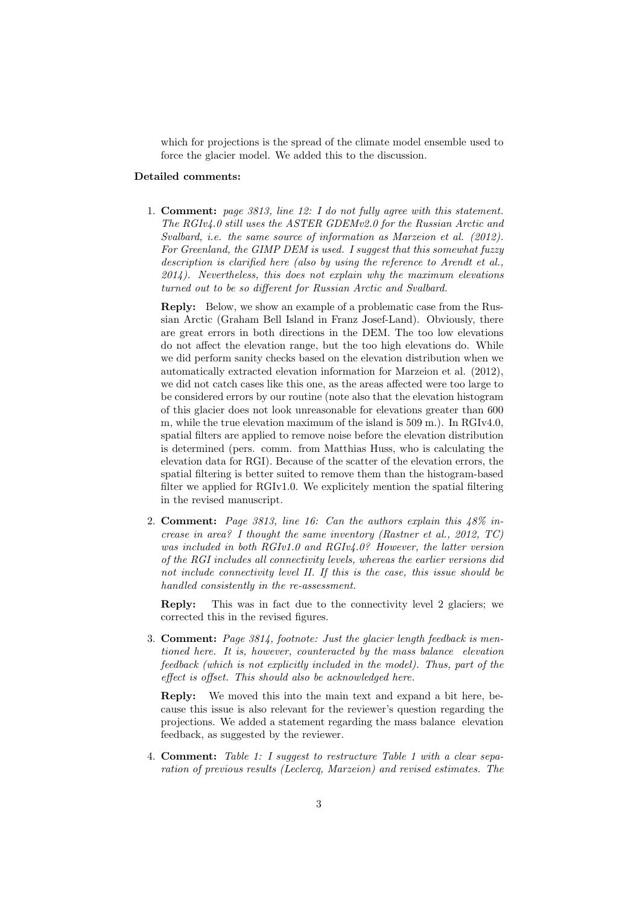which for projections is the spread of the climate model ensemble used to force the glacier model. We added this to the discussion.

#### Detailed comments:

1. Comment: page 3813, line 12: I do not fully agree with this statement. The RGIv4.0 still uses the ASTER GDEMv2.0 for the Russian Arctic and Svalbard, i.e. the same source of information as Marzeion et al. (2012). For Greenland, the GIMP DEM is used. I suggest that this somewhat fuzzy description is clarified here (also by using the reference to Arendt et al.,  $2014$ ). Nevertheless, this does not explain why the maximum elevations turned out to be so different for Russian Arctic and Svalbard.

Reply: Below, we show an example of a problematic case from the Russian Arctic (Graham Bell Island in Franz Josef-Land). Obviously, there are great errors in both directions in the DEM. The too low elevations do not affect the elevation range, but the too high elevations do. While we did perform sanity checks based on the elevation distribution when we automatically extracted elevation information for Marzeion et al. (2012), we did not catch cases like this one, as the areas affected were too large to be considered errors by our routine (note also that the elevation histogram of this glacier does not look unreasonable for elevations greater than 600 m, while the true elevation maximum of the island is 509 m.). In RGIv4.0, spatial filters are applied to remove noise before the elevation distribution is determined (pers. comm. from Matthias Huss, who is calculating the elevation data for RGI). Because of the scatter of the elevation errors, the spatial filtering is better suited to remove them than the histogram-based filter we applied for RGIv1.0. We explicitely mention the spatial filtering in the revised manuscript.

2. Comment: Page 3813, line 16: Can the authors explain this 48% increase in area? I thought the same inventory (Rastner et al., 2012, TC) was included in both RGIv1.0 and RGIv4.0? However, the latter version of the RGI includes all connectivity levels, whereas the earlier versions did not include connectivity level II. If this is the case, this issue should be handled consistently in the re-assessment.

Reply: This was in fact due to the connectivity level 2 glaciers; we corrected this in the revised figures.

3. Comment: Page 3814, footnote: Just the glacier length feedback is mentioned here. It is, however, counteracted by the mass balance elevation feedback (which is not explicitly included in the model). Thus, part of the effect is offset. This should also be acknowledged here.

Reply: We moved this into the main text and expand a bit here, because this issue is also relevant for the reviewer's question regarding the projections. We added a statement regarding the mass balance elevation feedback, as suggested by the reviewer.

4. Comment: Table 1: I suggest to restructure Table 1 with a clear separation of previous results (Leclercq, Marzeion) and revised estimates. The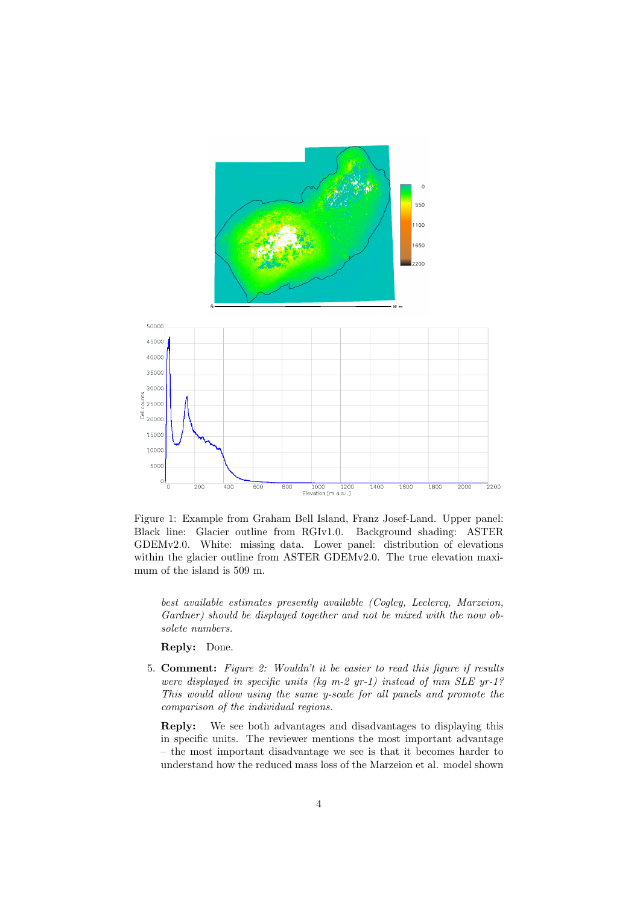

Figure 1: Example from Graham Bell Island, Franz Josef-Land. Upper panel: Black line: Glacier outline from RGIv1.0. Background shading: ASTER GDEMv2.0. White: missing data. Lower panel: distribution of elevations within the glacier outline from ASTER GDEMv2.0. The true elevation maximum of the island is 509 m.

best available estimates presently available (Cogley, Leclercq, Marzeion, Gardner) should be displayed together and not be mixed with the now obsolete numbers.

### Reply: Done.

5. Comment: Figure 2: Wouldn't it be easier to read this figure if results were displayed in specific units (kg m-2 yr-1) instead of mm SLE yr-1? This would allow using the same y-scale for all panels and promote the comparison of the individual regions.

Reply: We see both advantages and disadvantages to displaying this in specific units. The reviewer mentions the most important advantage – the most important disadvantage we see is that it becomes harder to understand how the reduced mass loss of the Marzeion et al. model shown